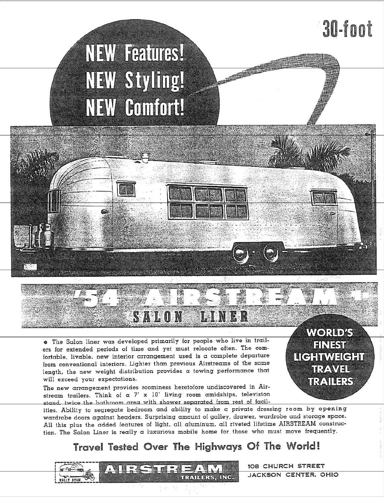## 30-foot

# **NEW Features!** NEW Styling! **NEW Comfort!**

. The Salon liner was developed primarily for people who live in trailers for extended periods of time and yet must relocate often. The comfortable, livable, new interior arrangement used is a complete departure from conventional interiors. Lighter than previous Airstreams of the same length, the new weight distribution provides a towing performance that will exceed your expectations.

**SALON** 

The new arrangement provides roominess heretofore undiscovered in Airstream trailers. Think of  $\alpha$  7' x 10' living room amidships, television stand, twice the bathroom grea with shower separated from rest of facil-

ities. Ability to segregate bedroom and ability to make a private dressing room by opening wardrobe doors against headers. Surprising amount of galley, drawer, wardrobe and storage space. All this plus the added features of light, all aluminum, all riveted lifetime AIRSTREAM construction. The Salon Liner is really a luxurious mobile home for those who must move frequently.

## Travel Tested Over The Highways Of The World!



108 CHURCH STREET JACKSON CENTER. OHIO

**WORLD'S FINEST** LICHTWEIGHT **TRAVEL** TRAILERS